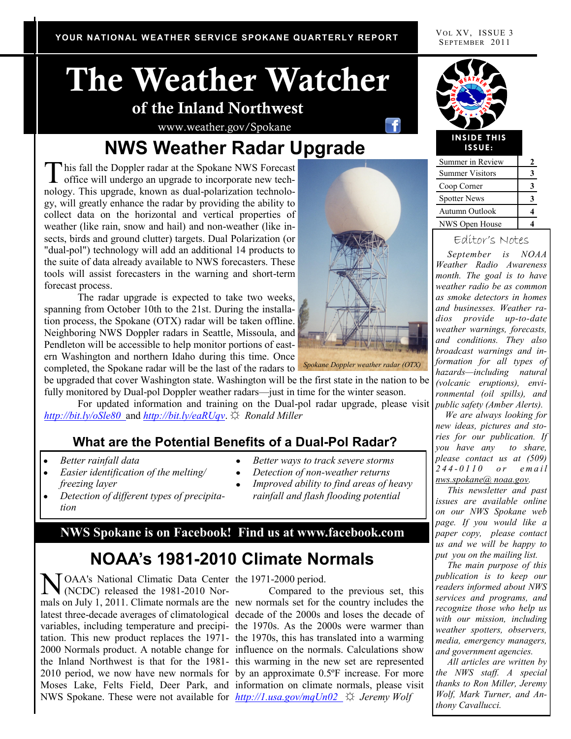SEPTEMBER 2011

# **The Weather Watcher of the Inland Northwest**

www.weather.gov/Spokane

# **NWS Weather Radar Upgrade**

This fall the Doppler radar at the Spokane NWS Forecast<br>office will undergo an upgrade to incorporate new techhis fall the Doppler radar at the Spokane NWS Forecast nology. This upgrade, known as dual-polarization technology, will greatly enhance the radar by providing the ability to collect data on the horizontal and vertical properties of weather (like rain, snow and hail) and non-weather (like insects, birds and ground clutter) targets. Dual Polarization (or "dual-pol") technology will add an additional 14 products to the suite of data already available to NWS forecasters. These tools will assist forecasters in the warning and short-term forecast process.

The radar upgrade is expected to take two weeks, spanning from October 10th to the 21st. During the installation process, the Spokane (OTX) radar will be taken offline. Neighboring NWS Doppler radars in Seattle, Missoula, and Pendleton will be accessible to help monitor portions of eastern Washington and northern Idaho during this time. Once completed, the Spokane radar will be the last of the radars to



For updated information and training on the Dual-pol radar upgrade, please visit *http://bit.ly/oSle80* and *http://bit.ly/eaRUqv*. ☼ *Ronald Miller*

#### **What are the Potential Benefits of a Dual-Pol Radar?**

- *Better rainfall data*
- *Easier identification of the melting/ freezing layer*
- *Detection of different types of precipitation*
- *Better ways to track severe storms*
- *Detection of non-weather returns*
- *Improved ability to find areas of heavy rainfall and flash flooding potential*

#### **NWS Spokane is on Facebook! Find us at www.facebook.com**

# **NOAA's 1981-2010 Climate Normals**

NOAA's National Climatic Data Center the 1971-2000 period.<br>
(NCDC) released the 1981-2010 Nor-Compared to (NCDC) released the 1981-2010 Normals on July 1, 2011. Climate normals are the new normals set for the country includes the latest three-decade averages of climatological decade of the 2000s and loses the decade of variables, including temperature and precipi-the 1970s. As the 2000s were warmer than tation. This new product replaces the 1971- the 1970s, this has translated into a warming 2000 Normals product. A notable change for influence on the normals. Calculations show the Inland Northwest is that for the 1981- this warming in the new set are represented 2010 period, we now have new normals for by an approximate 0.5ºF increase. For more Moses Lake, Felts Field, Deer Park, and information on climate normals, please visit NWS Spokane. These were not available for *http://1.usa.gov/mqUn02* ☼ *Jeremy Wolf*

Compared to the previous set, this



#### **INSIDE THIS ISSUE:**

| Summer in Review       |   |
|------------------------|---|
| <b>Summer Visitors</b> | 3 |
| Coop Corner            |   |
| <b>Spotter News</b>    | 3 |
| Autumn Outlook         |   |
| NWS Open House         |   |

#### Editor's Notes

 *September is NOAA Weather Radio Awareness month. The goal is to have weather radio be as common as smoke detectors in homes and businesses. Weather radios provide up-to-date weather warnings, forecasts, and conditions. They also broadcast warnings and information for all types of hazards—including natural (volcanic eruptions), environmental (oil spills), and public safety (Amber Alerts).*

 *We are always looking for new ideas, pictures and stories for our publication. If you have any to share, please contact us at (509) 244 - 0 1 1 0 o r e m a i l nws.spokane@ noaa.gov.*

 *This newsletter and past issues are available online on our NWS Spokane web page. If you would like a paper copy, please contact us and we will be happy to put you on the mailing list.* 

 *The main purpose of this publication is to keep our readers informed about NWS services and programs, and recognize those who help us with our mission, including weather spotters, observers, media, emergency managers, and government agencies.*

 *All articles are written by the NWS staff. A special thanks to Ron Miller, Jeremy Wolf, Mark Turner, and Anthony Cavallucci.*

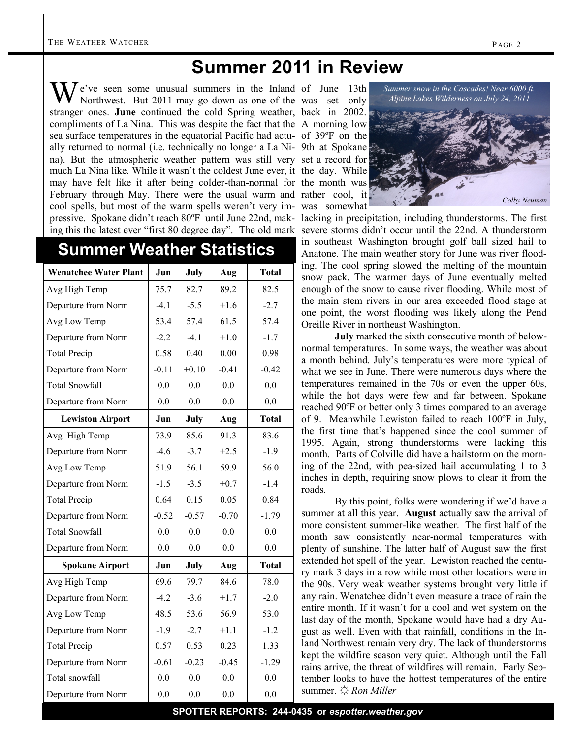# **Summer 2011 in Review**

We've seen some unusual summers in the Inland of June 13th<br>Northwest. But 2011 may go down as one of the was set only Northwest. But 2011 may go down as one of the was set only stranger ones. **June** continued the cold Spring weather, back in 2002. compliments of La Nina. This was despite the fact that the A morning low sea surface temperatures in the equatorial Pacific had actu-of 39ºF on the ally returned to normal (i.e. technically no longer a La Ni-9th at Spokane na). But the atmospheric weather pattern was still very set a record for much La Nina like. While it wasn't the coldest June ever, it the day. While may have felt like it after being colder-than-normal for the month was February through May. There were the usual warm and rather cool, it cool spells, but most of the warm spells weren't very im-was somewhat pressive. Spokane didn't reach 80ºF until June 22nd, mak-lacking in precipitation, including thunderstorms. The first

### **Summer Weather Statistics**

| <b>Wenatchee Water Plant</b> | Jun     | July    | Aug     | <b>Total</b> |
|------------------------------|---------|---------|---------|--------------|
| Avg High Temp                | 75.7    | 82.7    | 89.2    | 82.5         |
| Departure from Norm          | $-4.1$  | $-5.5$  | $+1.6$  | $-2.7$       |
| Avg Low Temp                 | 53.4    | 57.4    | 61.5    | 57.4         |
| Departure from Norm          | $-2.2$  | $-4.1$  | $+1.0$  | $-1.7$       |
| <b>Total Precip</b>          | 0.58    | 0.40    | 0.00    | 0.98         |
| Departure from Norm          | $-0.11$ | $+0.10$ | $-0.41$ | $-0.42$      |
| <b>Total Snowfall</b>        | 0.0     | 0.0     | 0.0     | 0.0          |
| Departure from Norm          | 0.0     | 0.0     | 0.0     | 0.0          |
| <b>Lewiston Airport</b>      | Jun     | July    | Aug     | <b>Total</b> |
| Avg High Temp                | 73.9    | 85.6    | 91.3    | 83.6         |
| Departure from Norm          | $-4.6$  | $-3.7$  | $+2.5$  | $-1.9$       |
| Avg Low Temp                 | 51.9    | 56.1    | 59.9    | 56.0         |
| Departure from Norm          | $-1.5$  | $-3.5$  | $+0.7$  | $-1.4$       |
| <b>Total Precip</b>          | 0.64    | 0.15    | 0.05    | 0.84         |
| Departure from Norm          | $-0.52$ | $-0.57$ | $-0.70$ | $-1.79$      |
| <b>Total Snowfall</b>        | 0.0     | 0.0     | 0.0     | 0.0          |
| Departure from Norm          | 0.0     | 0.0     | 0.0     | 0.0          |
| <b>Spokane Airport</b>       | Jun     | July    | Aug     | <b>Total</b> |
| Avg High Temp                | 69.6    | 79.7    | 84.6    | 78.0         |
| Departure from Norm          | $-4.2$  | $-3.6$  | $+1.7$  | $-2.0$       |
| Avg Low Temp                 | 48.5    | 53.6    | 56.9    | 53.0         |
| Departure from Norm          | $-1.9$  | $-2.7$  | $+1.1$  | $-1.2$       |
| <b>Total Precip</b>          | 0.57    | 0.53    | 0.23    | 1.33         |
| Departure from Norm          | $-0.61$ | $-0.23$ | $-0.45$ | $-1.29$      |
| Total snowfall               | 0.0     | 0.0     | 0.0     | 0.0          |
| Departure from Norm          | 0.0     | 0.0     | 0.0     | 0.0          |



ing this the latest ever "first 80 degree day". The old mark severe storms didn't occur until the 22nd. A thunderstorm in southeast Washington brought golf ball sized hail to Anatone. The main weather story for June was river flooding. The cool spring slowed the melting of the mountain snow pack. The warmer days of June eventually melted enough of the snow to cause river flooding. While most of the main stem rivers in our area exceeded flood stage at one point, the worst flooding was likely along the Pend Oreille River in northeast Washington.

> **July** marked the sixth consecutive month of belownormal temperatures. In some ways, the weather was about a month behind. July's temperatures were more typical of what we see in June. There were numerous days where the temperatures remained in the 70s or even the upper 60s, while the hot days were few and far between. Spokane reached 90ºF or better only 3 times compared to an average of 9. Meanwhile Lewiston failed to reach 100ºF in July, the first time that's happened since the cool summer of 1995. Again, strong thunderstorms were lacking this month. Parts of Colville did have a hailstorm on the morning of the 22nd, with pea-sized hail accumulating 1 to 3 inches in depth, requiring snow plows to clear it from the roads.

> By this point, folks were wondering if we'd have a summer at all this year. **August** actually saw the arrival of more consistent summer-like weather. The first half of the month saw consistently near-normal temperatures with plenty of sunshine. The latter half of August saw the first extended hot spell of the year. Lewiston reached the century mark 3 days in a row while most other locations were in the 90s. Very weak weather systems brought very little if any rain. Wenatchee didn't even measure a trace of rain the entire month. If it wasn't for a cool and wet system on the last day of the month, Spokane would have had a dry August as well. Even with that rainfall, conditions in the Inland Northwest remain very dry. The lack of thunderstorms kept the wildfire season very quiet. Although until the Fall rains arrive, the threat of wildfires will remain. Early September looks to have the hottest temperatures of the entire summer. ☼ *Ron Miller*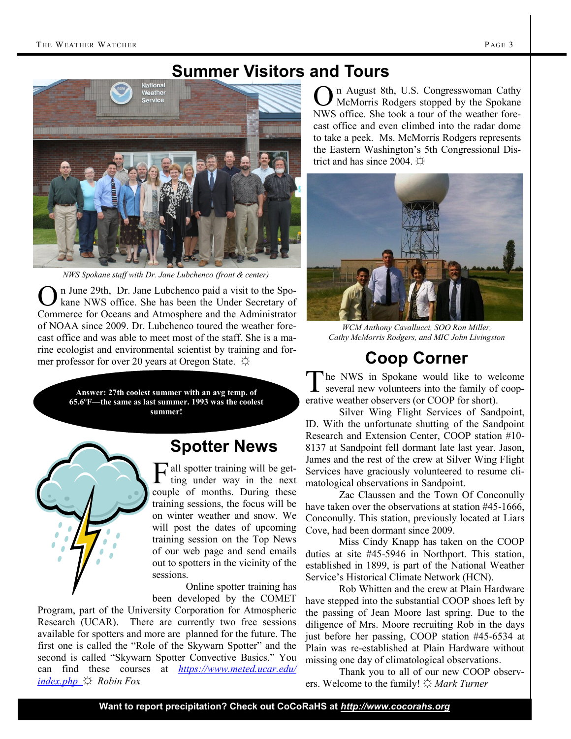### **Summer Visitors and Tours**



*NWS Spokane staff with Dr. Jane Lubchenco (front & center)*

O n June 29th, Dr. Jane Lubchenco paid a visit to the Spokane NWS office. She has been the Under Secretary of Commerce for Oceans and Atmosphere and the Administrator of NOAA since 2009. Dr. Lubchenco toured the weather forecast office and was able to meet most of the staff. She is a marine ecologist and environmental scientist by training and former professor for over 20 years at Oregon State.  $\varphi$ 

> **Answer: 27th coolest summer with an avg temp. of 65.6ºF—the same as last summer. 1993 was the coolest summer!**

# **Spotter News**

F all spotter training will be get-<br>ting under way in the next ting under way in the next couple of months. During these training sessions, the focus will be on winter weather and snow. We will post the dates of upcoming training session on the Top News of our web page and send emails out to spotters in the vicinity of the sessions.

Online spotter training has been developed by the COMET

Program, part of the University Corporation for Atmospheric Research (UCAR). There are currently two free sessions available for spotters and more are planned for the future. The first one is called the "Role of the Skywarn Spotter" and the second is called "Skywarn Spotter Convective Basics." You can find these courses at *https://www.meted.ucar.edu/ index.php* ☼ *Robin Fox*

O n August 8th, U.S. Congresswoman Cathy McMorris Rodgers stopped by the Spokane NWS office. She took a tour of the weather forecast office and even climbed into the radar dome to take a peek. Ms. McMorris Rodgers represents the Eastern Washington's 5th Congressional District and has since 2004.  $\ddot{\triangle}$ 



*WCM Anthony Cavallucci, SOO Ron Miller, Cathy McMorris Rodgers, and MIC John Livingston*

## **Coop Corner**

T he NWS in Spokane would like to welcome several new volunteers into the family of cooperative weather observers (or COOP for short).

Silver Wing Flight Services of Sandpoint, ID. With the unfortunate shutting of the Sandpoint Research and Extension Center, COOP station #10- 8137 at Sandpoint fell dormant late last year. Jason, James and the rest of the crew at Silver Wing Flight Services have graciously volunteered to resume climatological observations in Sandpoint.

Zac Claussen and the Town Of Conconully have taken over the observations at station #45-1666, Conconully. This station, previously located at Liars Cove, had been dormant since 2009.

Miss Cindy Knapp has taken on the COOP duties at site #45-5946 in Northport. This station, established in 1899, is part of the National Weather Service's Historical Climate Network (HCN).

Rob Whitten and the crew at Plain Hardware have stepped into the substantial COOP shoes left by the passing of Jean Moore last spring. Due to the diligence of Mrs. Moore recruiting Rob in the days just before her passing, COOP station #45-6534 at Plain was re-established at Plain Hardware without missing one day of climatological observations.

Thank you to all of our new COOP observers. Welcome to the family! ☼ *Mark Turner*